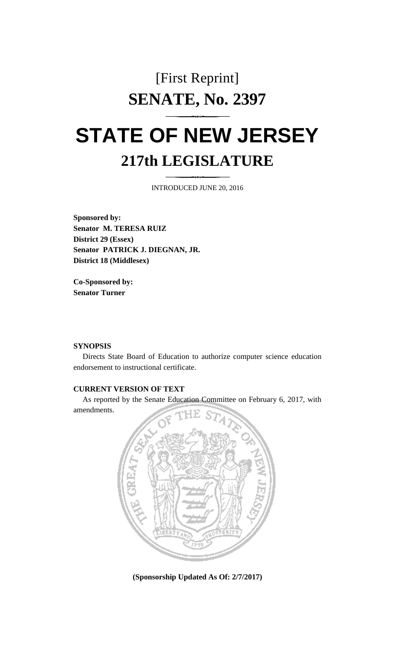## [First Reprint] **SENATE, No. 2397**

# **STATE OF NEW JERSEY 217th LEGISLATURE**

INTRODUCED JUNE 20, 2016

**Sponsored by: Senator M. TERESA RUIZ District 29 (Essex) Senator PATRICK J. DIEGNAN, JR. District 18 (Middlesex)**

**Co-Sponsored by: Senator Turner**

#### **SYNOPSIS**

Directs State Board of Education to authorize computer science education endorsement to instructional certificate.

### **CURRENT VERSION OF TEXT**

As reported by the Senate Education Committee on February 6, 2017, with amendments.



**(Sponsorship Updated As Of: 2/7/2017)**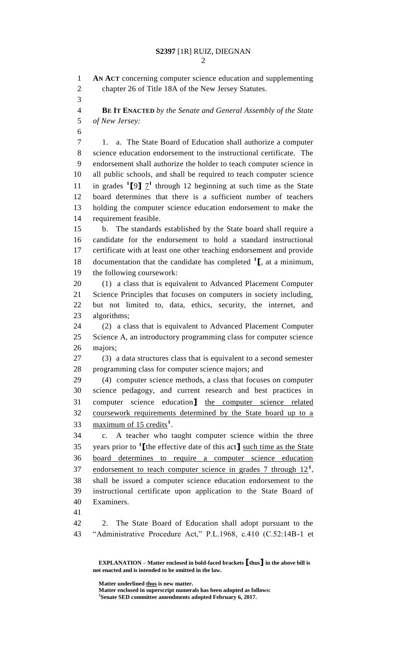**AN ACT** concerning computer science education and supplementing chapter 26 of Title 18A of the New Jersey Statutes. **BE IT ENACTED** *by the Senate and General Assembly of the State of New Jersey:* 1. a. The State Board of Education shall authorize a computer science education endorsement to the instructional certificate. The endorsement shall authorize the holder to teach computer science in all public schools, and shall be required to teach computer science 11 in grades  $\binom{1}{9}$   $\frac{7}{1}$  through 12 beginning at such time as the State board determines that there is a sufficient number of teachers holding the computer science education endorsement to make the requirement feasible. b. The standards established by the State board shall require a candidate for the endorsement to hold a standard instructional certificate with at least one other teaching endorsement and provide documentation that the candidate has completed **<sup>1</sup> [**, at a minimum, the following coursework: (1) a class that is equivalent to Advanced Placement Computer Science Principles that focuses on computers in society including, but not limited to, data, ethics, security, the internet, and algorithms; (2) a class that is equivalent to Advanced Placement Computer Science A, an introductory programming class for computer science majors; (3) a data structures class that is equivalent to a second semester programming class for computer science majors; and (4) computer science methods, a class that focuses on computer science pedagogy, and current research and best practices in computer science education**]** the computer science related coursework requirements determined by the State board up to a 33 maximum of 15 credits<sup>1</sup>. c. A teacher who taught computer science within the three years prior to **<sup>1</sup> [**the effective date of this act**]** such time as the State board determines to require a computer science education 37 endorsement to teach computer science in grades through  $12<sup>1</sup>$ , shall be issued a computer science education endorsement to the instructional certificate upon application to the State Board of Examiners. 2. The State Board of Education shall adopt pursuant to the "Administrative Procedure Act," P.L.1968, c.410 (C.52:14B-1 et

**Matter underlined thus is new matter.**

**Matter enclosed in superscript numerals has been adopted as follows: Senate SED committee amendments adopted February 6, 2017.**

**EXPLANATION – Matter enclosed in bold-faced brackets [thus] in the above bill is not enacted and is intended to be omitted in the law.**